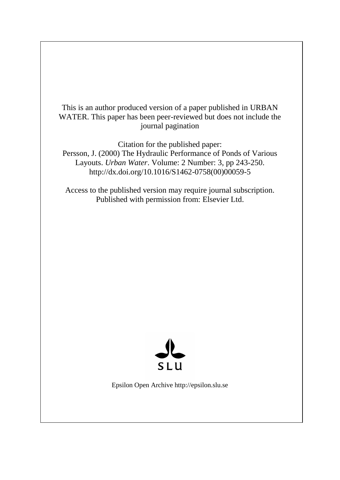This is an author produced version of a paper published in URBAN WATER. This paper has been peer-reviewed but does not include the journal pagination

Citation for the published paper: Persson, J. (2000) The Hydraulic Performance of Ponds of Various Layouts. *Urban Water*. Volume: 2 Number: 3, pp 243-250. http://dx.doi.org/10.1016/S1462-0758(00)00059-5

Access to the published version may require journal subscription. Published with permission from: Elsevier Ltd.



Epsilon Open Archive http://epsilon.slu.se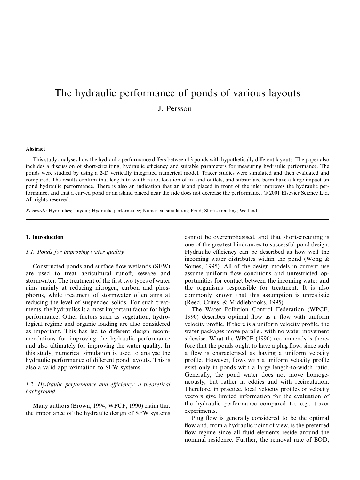# The hydraulic performance of ponds of various layouts J. Persson

## Abstract

This study analyses how the hydraulic performance differs between 13 ponds with hypothetically different layouts. The paper also includes a discussion of short-circuiting, hydraulic efficiency and suitable parameters for measuring hydraulic performance. The ponds were studied by using a 2-D vertically integrated numerical model. Tracer studies were simulated and then evaluated and compared. The results confirm that length-to-width ratio, location of in- and outlets, and subsurface berm have a large impact on pond hydraulic performance. There is also an indication that an island placed in front of the inlet improves the hydraulic performance, and that a curved pond or an island placed near the side does not decrease the performance. © 2001 Elsevier Science Ltd. All rights reserved.

Keywords: Hydraulics; Layout; Hydraulic performance; Numerical simulation; Pond; Short-circuiting; Wetland

## 1. Introduction

## 1.1. Ponds for improving water quality

Constructed ponds and surface flow wetlands (SFW) are used to treat agricultural runoff, sewage and stormwater. The treatment of the first two types of water aims mainly at reducing nitrogen, carbon and phosphorus, while treatment of stormwater often aims at reducing the level of suspended solids. For such treatments, the hydraulics is a most important factor for high performance. Other factors such as vegetation, hydrological regime and organic loading are also considered as important. This has led to different design recommendations for improving the hydraulic performance and also ultimately for improving the water quality. In this study, numerical simulation is used to analyse the hydraulic performance of different pond layouts. This is also a valid approximation to SFW systems.

# $1.2.$  Hydraulic performance and efficiency: a theoretical background

Many authors (Brown, 1994; WPCF, 1990) claim that the importance of the hydraulic design of SFW systems

cannot be overemphasised, and that short-circuiting is one of the greatest hindrances to successful pond design. Hydraulic efficiency can be described as how well the incoming water distributes within the pond (Wong & Somes, 1995). All of the design models in current use assume uniform flow conditions and unrestricted opportunities for contact between the incoming water and the organisms responsible for treatment. It is also commonly known that this assumption is unrealistic (Reed, Crites, & Middlebrooks, 1995).

The Water Pollution Control Federation (WPCF, 1990) describes optimal flow as a flow with uniform velocity profile. If there is a uniform velocity profile, the water packages move parallel, with no water movement sidewise. What the WPCF (1990) recommends is therefore that the ponds ought to have a plug flow, since such a flow is characterised as having a uniform velocity profile. However, flows with a uniform velocity profile exist only in ponds with a large length-to-width ratio. Generally, the pond water does not move homogeneously, but rather in eddies and with recirculation. Therefore, in practice, local velocity profiles or velocity vectors give limited information for the evaluation of the hydraulic performance compared to, e.g., tracer experiments.

Plug flow is generally considered to be the optimal flow and, from a hydraulic point of view, is the preferred flow regime since all fluid elements reside around the nominal residence. Further, the removal rate of BOD,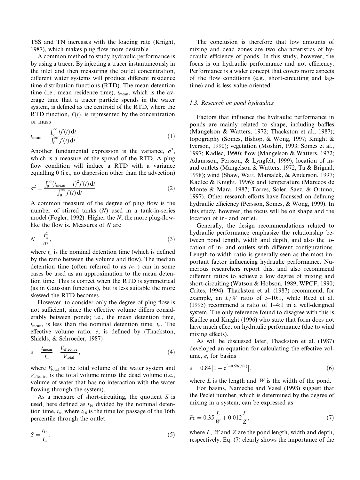TSS and TN increases with the loading rate (Knight, 1987), which makes plug flow more desirable.

A common method to study hydraulic performance is by using a tracer. By injecting a tracer instantaneously in the inlet and then measuring the outlet concentration, different water systems will produce different residence time distribution functions (RTD). The mean detention time (i.e., mean residence time),  $t_{\text{mean}}$ , which is the average time that a tracer particle spends in the water system, is defined as the centroid of the RTD, where the RTD function,  $f(t)$ , is represented by the concentration or mass

$$
t_{\text{mean}} = \frac{\int_0^\infty t f(t) \, \mathrm{d}t}{\int_0^\infty f(t) \, \mathrm{d}t}.
$$
 (1)

Another fundamental expression is the variance,  $\sigma^2$ , which is a measure of the spread of the RTD. A plug flow condition will induce a RTD with a variance equalling 0 (i.e., no dispersion other than the advection)

$$
\sigma^2 = \frac{\int_0^\infty (t_{\text{mean}} - t)^2 f(t) \, \mathrm{d}t}{\int_0^\infty f(t) \, \mathrm{d}t}.\tag{2}
$$

A common measure of the degree of plug flow is the number of stirred tanks (N) used in a tank-in-series model (Fogler, 1992). Higher the  $N$ , the more plug-flowlike the flow is. Measures of  $N$  are

$$
N = \frac{t_{\rm n}^2}{\sigma^2},\tag{3}
$$

where  $t_n$  is the nominal detention time (which is defined by the ratio between the volume and flow). The median detention time (often referred to as  $t_{50}$ ) can in some cases be used as an approximation to the mean detention time. This is correct when the RTD is symmetrical (as in Gaussian functions), but is less suitable the more skewed the RTD becomes.

However, to consider only the degree of plug flow is not sufficient, since the effective volume differs considerably between ponds; i.e., the mean detention time,  $t_{\text{mean}}$ , is less than the nominal detention time,  $t_{\text{n}}$ . The effective volume ratio,  $e$ , is defined by (Thackston, Shields, & Schroeder, 1987)

$$
e = \frac{t_{\text{mean}}}{t_{\text{n}}} = \frac{V_{\text{effective}}}{V_{\text{total}}},\tag{4}
$$

where  $V_{total}$  is the total volume of the water system and  $V_{\text{effective}}$  is the total volume minus the dead volume (i.e., volume of water that has no interaction with the water flowing through the system).

As a measure of short-circuiting, the quotient  $S$  is used, here defined as  $t_{16}$  divided by the nominal detention time,  $t_n$ , where  $t_{16}$  is the time for passage of the 16th percentile through the outlet

$$
S = \frac{t_{16}}{t_{\rm n}}.\tag{5}
$$

The conclusion is therefore that low amounts of mixing and dead zones are two characteristics of hydraulic efficiency of ponds. In this study, however, the focus is on hydraulic performance and not efficiency. Performance is a wider concept that covers more aspects of the flow conditions (e.g., short-circuiting and lagtime) and is less value-oriented.

## 1.3. Research on pond hydraulics

Factors that influence the hydraulic performance in ponds are mainly related to shape, including baffles (Mangelson & Watters, 1972; Thackston et al., 1987); topography (Somes, Bishop, & Wong, 1997; Knight & Iverson, 1990); vegetation (Moshiri, 1993; Somes et al., 1997; Kadlec, 1990); flow (Mangelson & Watters, 1972; Adamsson, Persson, & Lyngfelt, 1999); location of inand outlets (Mangelson & Watters, 1972, Ta & Brignal, 1998); wind (Shaw, Watt, Marsalek, & Anderson, 1997; Kadlec & Knight, 1996); and temperature (Marecos de Monte & Mara, 1987; Torres, Soler, Saez, & Ortuno, 1997). Other research efforts have focussed on defining hydraulic efficiency (Persson, Somes, & Wong, 1999). In this study, however, the focus will be on shape and the location of in- and outlet.

Generally, the design recommendations related to hydraulic performance emphasize the relationship between pond length, width and depth, and also the location of in- and outlets with different configurations. Length-to-width ratio is generally seen as the most important factor influencing hydraulic performance. Numerous researchers report this, and also recommend different ratios to achieve a low degree of mixing and short-circuiting (Watson & Hobson, 1989; WPCF, 1990; Crites, 1994). Thackston et al. (1987) recommend, for example, an  $L/W$  ratio of 5-10:1, while Reed et al.  $(1995)$  recommend a ratio of 1-4:1 in a well-designed system. The only reference found to disagree with this is Kadlec and Knight (1996) who state that form does not have much effect on hydraulic performance (due to wind mixing effects).

As will be discussed later, Thackston et al. (1987) developed an equation for calculating the effective volume, e, for basins

$$
e = 0.84 \left[ 1 - e^{(-0.59L/W)} \right],\tag{6}
$$

where  $L$  is the length and  $W$  is the width of the pond.

For basins, Nameche and Vasel (1998) suggest that the Peclet number, which is determined by the degree of mixing in a system, can be expressed as

$$
Pe = 0.35 \frac{L}{W} + 0.012 \frac{L}{Z},\tag{7}
$$

where  $L$ ,  $W$  and  $Z$  are the pond length, width and depth, respectively. Eq. (7) clearly shows the importance of the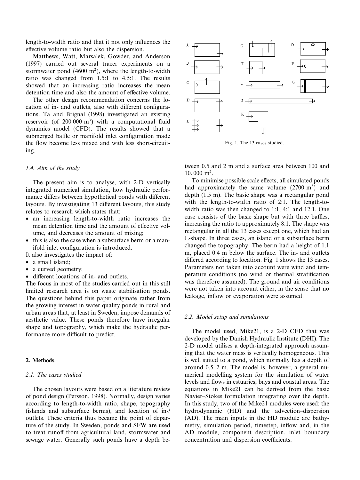length-to-width ratio and that it not only influences the effective volume ratio but also the dispersion.

Matthews, Watt, Marsalek, Gowder, and Anderson (1997) carried out several tracer experiments on a stormwater pond  $(4600 \text{ m}^2)$ , where the length-to-width ratio was changed from 1.5:1 to 4.5:1. The results showed that an increasing ratio increases the mean detention time and also the amount of effective volume.

The other design recommendation concerns the location of in- and outlets, also with different configurations. Ta and Brignal (1998) investigated an existing reservoir (of  $200\,000\,\mathrm{m}^3$ ) with a computational fluid dynamics model (CFD). The results showed that a submerged baffle or manifold inlet configuration made the flow become less mixed and with less short-circuiting.

# 1.4. Aim of the study

The present aim is to analyse, with 2-D vertically integrated numerical simulation, how hydraulic performance differs between hypothetical ponds with different layouts. By investigating 13 different layouts, this study relates to research which states that:

- an increasing length-to-width ratio increases the mean detention time and the amount of effective volume, and decreases the amount of mixing;
- this is also the case when a subsurface berm or a manifold inlet configuration is introduced.

It also investigates the impact of:

- · a small island;
- a curved geometry;
- different locations of in- and outlets.

The focus in most of the studies carried out in this still limited research area is on waste stabilisation ponds. The questions behind this paper originate rather from the growing interest in water quality ponds in rural and urban areas that, at least in Sweden, impose demands of aesthetic value. These ponds therefore have irregular shape and topography, which make the hydraulic performance more difficult to predict.

# 2. Methods

# 2.1. The cases studied

The chosen layouts were based on a literature review of pond design (Persson, 1998). Normally, design varies according to length-to-width ratio, shape, topography (islands and subsurface berms), and location of in-/ outlets. These criteria thus became the point of departure of the study. In Sweden, ponds and SFW are used to treat runoff from agricultural land, stormwater and sewage water. Generally such ponds have a depth be-



Fig. 1. The 13 cases studied.

tween 0.5 and 2 m and a surface area between 100 and  $10,000 \text{ m}^2$ .

To minimise possible scale effects, all simulated ponds had approximately the same volume  $(2700 \text{ m}^3)$  and depth (1.5 m). The basic shape was a rectangular pond with the length-to-width ratio of 2:1. The length-towidth ratio was then changed to 1:1, 4:1 and 12:1. One case consists of the basic shape but with three baffles, increasing the ratio to approximately 8:1. The shape was rectangular in all the 13 cases except one, which had an L-shape. In three cases, an island or a subsurface berm changed the topography. The berm had a height of 1.1 m, placed 0.4 m below the surface. The in- and outlets differed according to location. Fig. 1 shows the 13 cases. Parameters not taken into account were wind and temperature conditions (no wind or thermal stratification was therefore assumed). The ground and air conditions were not taken into account either, in the sense that no leakage, inflow or evaporation were assumed.

#### 2.2. Model setup and simulations

The model used, Mike21, is a 2-D CFD that was developed by the Danish Hydraulic Institute (DHI). The 2-D model utilises a depth-integrated approach assuming that the water mass is vertically homogeneous. This is well suited to a pond, which normally has a depth of around  $0.5-2$  m. The model is, however, a general numerical modelling system for the simulation of water levels and flows in estuaries, bays and coastal areas. The equations in Mike21 can be derived from the basic Navier-Stokes formulation integrating over the depth. In this study, two of the Mike21 modules were used: the hydrodynamic (HD) and the advection-dispersion (AD). The main inputs in the HD module are bathymetry, simulation period, timestep, inflow and, in the AD module, component description, inlet boundary concentration and dispersion coefficients.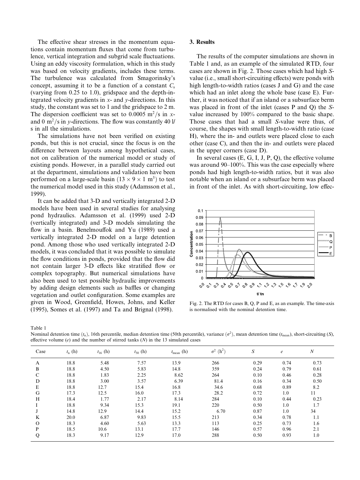The effective shear stresses in the momentum equations contain momentum fluxes that come from turbulence, vertical integration and subgrid scale fluctuations. Using an eddy viscosity formulation, which in this study was based on velocity gradients, includes these terms. The turbulence was calculated from Smagorinsky's concept, assuming it to be a function of a constant  $C_s$ (varying from 0.25 to 1.0), gridspace and the depth-integrated velocity gradients in  $x$ - and  $y$ -directions. In this study, the constant was set to 1 and the gridspace to 2 m. The dispersion coefficient was set to 0.0005 m<sup>2</sup>/s in xand 0 m<sup>2</sup>/s in y-directions. The flow was constantly 40 l/ s in all the simulations.

The simulations have not been verified on existing ponds, but this is not crucial, since the focus is on the difference between layouts among hypothetical cases. not on calibration of the numerical model or study of existing ponds. However, in a parallel study carried out at the department, simulations and validation have been performed on a large-scale basin  $(13 \times 9 \times 1 \text{ m}^3)$  to test the numerical model used in this study (Adamsson et al., 1999).

It can be added that 3-D and vertically integrated 2-D models have been used in several studies for analysing pond hydraulics. Adamsson et al. (1999) used 2-D (vertically integrated) and 3-D models simulating the flow in a basin. Benelmouffok and Yu (1989) used a vertically integrated 2-D model on a large detention pond. Among those who used vertically integrated 2-D models, it was concluded that it was possible to simulate the flow conditions in ponds, provided that the flow did not contain larger 3-D effects like stratified flow or complex topography. But numerical simulations have also been used to test possible hydraulic improvements by adding design elements such as baffles or changing vegetation and outlet configuration. Some examples are given in Wood, Greenfield, Howes, Johns, and Keller (1995), Somes et al. (1997) and Ta and Brignal (1998).

## 3. Results

The results of the computer simulations are shown in Table 1 and, as an example of the simulated RTD, four cases are shown in Fig. 2. Those cases which had high Svalue (*i.e.*, small short-circuiting effects) were ponds with high length-to-width ratios (cases J and G) and the case which had an inlet along the whole base (case E). Further, it was noticed that if an island or a subsurface berm was placed in front of the inlet (cases P and Q) the Svalue increased by 100% compared to the basic shape. Those cases that had a small S-value were thus, of course, the shapes with small length-to-width ratio (case H), where the in- and outlets were placed close to each other (case C), and then the in- and outlets were placed in the upper corners (case D).

In several cases  $(E, G, I, J, P, Q)$ , the effective volume was around 90-100%. This was the case especially where ponds had high length-to-width ratios, but it was also notable when an island or a subsurface berm was placed in front of the inlet. As with short-circuiting, low effec-



Fig. 2. The RTD for cases B, Q, P and E, as an example. The time-axis is normalised with the nominal detention time.

Table 1

Nominal detention time  $(t_n)$ , 16th percentile, median detention time (50th percentile), variance  $(\sigma^2)$ , mean detention time  $(t_{mean})$ , short-circuiting (S), effective volume (e) and the number of stirred tanks  $(N)$  in the 13 simulated cases

| Case     | $t_n(h)$ | $t_{16}$ (h) | $t_{50}$ (h) | $t_{\text{mean}}$ (h) | $(h^2)$<br>$\sigma^2$ | $\boldsymbol{S}$ | $\epsilon$ | $\boldsymbol{N}$ |
|----------|----------|--------------|--------------|-----------------------|-----------------------|------------------|------------|------------------|
| A        | 18.8     | 5.48         | 7.57         | 13.9                  | 266                   | 0.29             | 0.74       | 0.73             |
| B        | 18.8     | 4.50         | 5.83         | 14.8                  | 359                   | 0.24             | 0.79       | 0.61             |
| C        | 18.8     | 1.83         | 2.25         | 8.62                  | 264                   | 0.10             | 0.46       | 0.28             |
| D        | 18.8     | 3.00         | 3.57         | 6.39                  | 81.4                  | 0.16             | 0.34       | 0.50             |
| E        | 18.8     | 12.7         | 15.4         | 16.8                  | 34.6                  | 0.68             | 0.89       | 8.2              |
| G        | 17.3     | 12.5         | 16.0         | 17.3                  | 28.2                  | 0.72             | 1.0        | 11               |
| H        | 18.4     | 1.77         | 2.17         | 8.14                  | 284                   | 0.10             | 0.44       | 0.23             |
|          | 18.8     | 9.34         | 15.3         | 19.1                  | 220                   | 0.50             | 1.0        | 1.7              |
|          | 14.8     | 12.9         | 14.4         | 15.2                  | 6.70                  | 0.87             | 1.0        | 34               |
| K        | 20.0     | 6.87         | 9.83         | 15.5                  | 213                   | 0.34             | 0.78       | 1.1              |
| $\Omega$ | 18.3     | 4.60         | 5.63         | 13.3                  | 113                   | 0.25             | 0.73       | 1.6              |
| P        | 18.5     | 10.6         | 13.1         | 17.7                  | 146                   | 0.57             | 0.96       | 2.1              |
| Q        | 18.3     | 9.17         | 12.9         | 17.0                  | 288                   | 0.50             | 0.93       | 1.0              |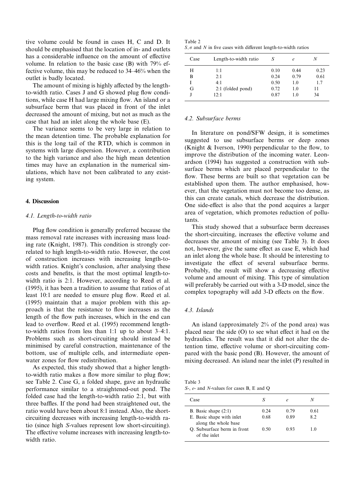tive volume could be found in cases H, C and D. It should be emphasised that the location of in- and outlets has a considerable influence on the amount of effective volume. In relation to the basic case (B) with 79% effective volume, this may be reduced to  $34-46%$  when the outlet is badly located.

The amount of mixing is highly affected by the lengthto-width ratio. Cases J and G showed plug flow conditions, while case H had large mixing flow. An island or a subsurface berm that was placed in front of the inlet decreased the amount of mixing, but not as much as the case that had an inlet along the whole base (E).

The variance seems to be very large in relation to the mean detention time. The probable explanation for this is the long tail of the RTD, which is common in systems with large dispersion. However, a contribution to the high variance and also the high mean detention times may have an explanation in the numerical simulations, which have not been calibrated to any existing system.

## 4. Discussion

#### 4.1. Length-to-width ratio

Plug flow condition is generally preferred because the mass removal rate increases with increasing mass loading rate (Knight, 1987). This condition is strongly correlated to high length-to-width ratio. However, the cost of construction increases with increasing length-towidth ratios. Knight's conclusion, after analysing these costs and benefits, is that the most optimal length-towidth ratio is 2:1. However, according to Reed et al. (1995), it has been a tradition to assume that ratios of at least 10:1 are needed to ensure plug flow. Reed et al. (1995) maintain that a major problem with this approach is that the resistance to flow increases as the length of the flow path increases, which in the end can lead to overflow. Reed et al. (1995) recommend lengthto-width ratios from less than 1:1 up to about  $3-4:1$ . Problems such as short-circuiting should instead be minimised by careful construction, maintenance of the bottom, use of multiple cells, and intermediate openwater zones for flow redistribution.

As expected, this study showed that a higher lengthto-width ratio makes a flow more similar to plug flow; see Table 2. Case G, a folded shape, gave an hydraulic performance similar to a straightened-out pond. The folded case had the length-to-width ratio 2:1, but with three baffles. If the pond had been straightened out, the ratio would have been about 8:1 instead. Also, the shortcircuiting decreases with increasing length-to-width ratio (since high S-values represent low short-circuiting). The effective volume increases with increasing length-towidth ratio.

Table 2  $S, \sigma$  and N in five cases with different length-to-width ratios

| Case | Length-to-width ratio | S    | e    | N    |
|------|-----------------------|------|------|------|
| H    | 1:1                   | 0.10 | 0.44 | 0.23 |
| B    | 2:1                   | 0.24 | 0.79 | 0.61 |
|      | 4:1                   | 0.50 | 1.0  | 1.7  |
| G    | 2:1 (folded pond)     | 0.72 | 1.0  | 11   |
|      | 12:1                  | 0.87 | 1.0  | 34   |

## 4.2. Subsurface berms

In literature on pond/SFW design, it is sometimes suggested to use subsurface berms or deep zones (Knight  $& Iverson, 1990$ ) perpendicular to the flow, to improve the distribution of the incoming water. Leonardson (1994) has suggested a construction with subsurface berms which are placed perpendicular to the flow. These berms are built so that vegetation can be established upon them. The author emphasised, however, that the vegetation must not become too dense, as this can create canals, which decrease the distribution. One side-effect is also that the pond acquires a larger area of vegetation, which promotes reduction of pollutants.

This study showed that a subsurface berm decreases the short-circuiting, increases the effective volume and decreases the amount of mixing (see Table 3). It does not, however, give the same effect as case E, which had an inlet along the whole base. It should be interesting to investigate the effect of several subsurface berms. Probably, the result will show a decreasing effective volume and amount of mixing. This type of simulation will preferably be carried out with a 3-D model, since the complex topography will add 3-D effects on the flow.

## 4.3. Islands

An island (approximately 2% of the pond area) was placed near the side  $(O)$  to see what effect it had on the hydraulics. The result was that it did not alter the detention time, effective volume or short-circuiting compared with the basic pond (B). However, the amount of mixing decreased. An island near the inlet (P) resulted in

Table 3 S-, e- and N-values for cases B, E and Q

| Case                                                                        | S            |              |            |
|-----------------------------------------------------------------------------|--------------|--------------|------------|
| B. Basic shape $(2:1)$<br>E. Basic shape with inlet<br>along the whole base | 0.24<br>0.68 | 0.79<br>0.89 | 0.61<br>82 |
| O. Subsurface berm in front<br>of the inlet                                 | 0.50         | 0.93         | 10         |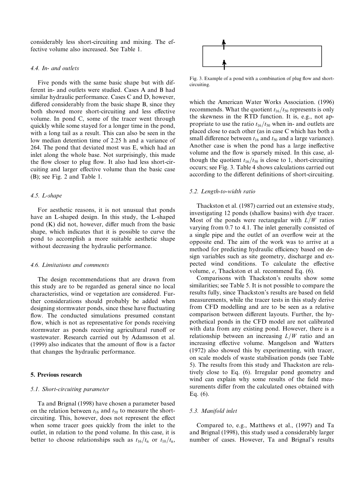considerably less short-circuiting and mixing. The effective volume also increased. See Table 1.

## 4.4. In- and outlets

Five ponds with the same basic shape but with different in- and outlets were studied. Cases A and B had similar hydraulic performance. Cases C and D, however, differed considerably from the basic shape B, since they both showed more short-circuiting and less effective volume. In pond C, some of the tracer went through quickly while some stayed for a longer time in the pond, with a long tail as a result. This can also be seen in the low median detention time of 2.25 h and a variance of 264. The pond that deviated most was E, which had an inlet along the whole base. Not surprisingly, this made the flow closer to plug flow. It also had less short-circuiting and larger effective volume than the basic case (B); see Fig. 2 and Table 1.

## 4.5. L-shape

For aesthetic reasons, it is not unusual that ponds have an L-shaped design. In this study, the L-shaped pond  $(K)$  did not, however, differ much from the basic shape, which indicates that it is possible to curve the pond to accomplish a more suitable aesthetic shape without decreasing the hydraulic performance.

#### 4.6. Limitations and comments

The design recommendations that are drawn from this study are to be regarded as general since no local characteristics, wind or vegetation are considered. Further considerations should probably be added when designing stormwater ponds, since these have fluctuating flow. The conducted simulations presumed constant flow, which is not as representative for ponds receiving stormwater as ponds receiving agricultural runoff or wastewater. Research carried out by Adamsson et al.  $(1999)$  also indicates that the amount of flow is a factor that changes the hydraulic performance.

## 5. Previous research

## 5.1. Short-circuiting parameter

Ta and Brignal (1998) have chosen a parameter based on the relation between  $t_{16}$  and  $t_{50}$  to measure the shortcircuiting. This, however, does not represent the effect when some tracer goes quickly from the inlet to the outlet, in relation to the pond volume. In this case, it is better to choose relationships such as  $t_{16}/t_n$  or  $t_{10}/t_n$ ,



Fig. 3. Example of a pond with a combination of plug flow and shortcircuiting.

which the American Water Works Association. (1996) recommends. What the quotient  $t_{16}/t_{50}$  represents is only the skewness in the RTD function. It is, e.g., not appropriate to use the ratio  $t_{16}/t_{50}$  when in- and outlets are placed close to each other (as in case C which has both a small difference between  $t_{16}$  and  $t_{50}$  and a large variance). Another case is when the pond has a large ineffective volume and the flow is sparsely mixed. In this case, although the quotient  $t_{16}/t_{50}$  is close to 1, short-circuiting occurs; see Fig. 3. Table 4 shows calculations carried out according to the different definitions of short-circuiting.

#### 5.2. Length-to-width ratio

Thackston et al. (1987) carried out an extensive study, investigating 12 ponds (shallow basins) with dye tracer. Most of the ponds were rectangular with  $L/W$  ratios varying from 0.7 to 4.1. The inlet generally consisted of a single pipe and the outlet of an overflow weir at the opposite end. The aim of the work was to arrive at a method for predicting hydraulic efficiency based on design variables such as site geometry, discharge and expected wind conditions. To calculate the effective volume, e, Thackston et al. recommend Eq. (6).

Comparisons with Thackston's results show some similarities; see Table 5. It is not possible to compare the results fully, since Thackston's results are based on field measurements, while the tracer tests in this study derive from CFD modelling and are to be seen as a relative comparison between different layouts. Further, the hypothetical ponds in the CFD model are not calibrated with data from any existing pond. However, there is a relationship between an increasing  $L/W$  ratio and an increasing effective volume. Mangelson and Watters (1972) also showed this by experimenting, with tracer, on scale models of waste stabilisation ponds (see Table 5). The results from this study and Thackston are relatively close to Eq. (6). Irregular pond geometry and wind can explain why some results of the field measurements differ from the calculated ones obtained with Eq. (6).

## 5.3. Manifold inlet

Compared to, e.g., Matthews et al., (1997) and Ta and Brignal (1998), this study used a considerably larger number of cases. However, Ta and Brignal's results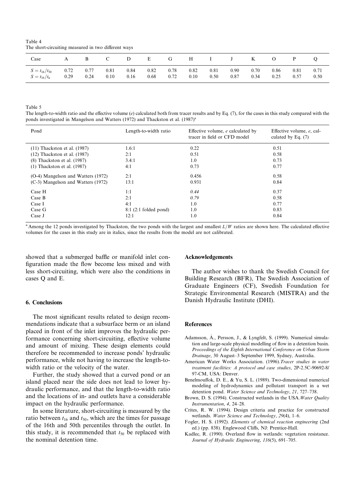Table 4 The short-circuiting measured in two different ways

| Case                   | А    | B —  | $\mathbf{C}$ |      | D E  | G    |      |      | $H$ I J K |      | $\overline{O}$ | P    |      |
|------------------------|------|------|--------------|------|------|------|------|------|-----------|------|----------------|------|------|
| $S = t_{16}/t_{50}$    | 0.72 | 0.77 | 0.81         | 0.84 | 0.82 | 0.78 | 0.82 | 0.81 | 0.90      | 0.70 | 0.86           | 0.81 | 0.71 |
| $S = t_{16}/t_{\rm n}$ | 0.29 | 0.24 | 0.10         | 0.16 | 0.68 | 0.72 | 0.10 | 0.50 | 0.87      | 0.34 | 0.25           | 0.57 | 0.50 |

Table 5

The length-to-width ratio and the effective volume (e) calculated both from tracer results and by Eq.  $(7)$ , for the cases in this study compared with the ponds investigated in Mangelson and Watters (1972) and Thackston et al.  $(1987)^{a}$ 

| Pond                               | Length-to-width ratio  | Effective volume, e calculated by<br>tracer in field or CFD model | Effective volume, e, cal-<br>culated by Eq. $(7)$ |
|------------------------------------|------------------------|-------------------------------------------------------------------|---------------------------------------------------|
| $(11)$ Thackston et al. $(1987)$   | 1.6:1                  | 0.22                                                              | 0.51                                              |
| $(12)$ Thackston et al. $(1987)$   | 2:1                    | 0.51                                                              | 0.58                                              |
| $(8)$ Thackston et al. $(1987)$    | 3.4:1                  | 1.0                                                               | 0.73                                              |
| $(1)$ Thackston et al. $(1987)$    | 4:1                    | 0.73                                                              | 0.77                                              |
| (O-4) Mangelson and Watters (1972) | 2:1                    | 0.456                                                             | 0.58                                              |
| (C-3) Mangelson and Watters (1972) | 13:1                   | 0.931                                                             | 0.84                                              |
| Case H                             | 1:1                    | 0.44                                                              | 0.37                                              |
| Case B                             | 2:1                    | 0.79                                                              | 0.58                                              |
| Case I                             | 4:1                    | 1.0                                                               | 0.77                                              |
| Case G                             | $8:1(2:1$ folded pond) | 1.0                                                               | 0.83                                              |
| Case J                             | 12:1                   | 1.0                                                               | 0.84                                              |

<sup>a</sup> Among the 12 ponds investigated by Thackston, the two ponds with the largest and smallest  $L/W$  ratios are shown here. The calculated effective volumes for the cases in this study are in italics, since the results from the model are not calibrated.

showed that a submerged baffle or manifold inlet configuration made the flow become less mixed and with less short-circuiting, which were also the conditions in cases Q and E.

## 6. Conclusions

The most significant results related to design recommendations indicate that a subsurface berm or an island placed in front of the inlet improves the hydraulic performance concerning short-circuiting, effective volume and amount of mixing. These design elements could therefore be recommended to increase ponds' hydraulic performance, while not having to increase the length-towidth ratio or the velocity of the water.

Further, the study showed that a curved pond or an island placed near the side does not lead to lower hydraulic performance, and that the length-to-width ratio and the locations of in- and outlets have a considerable impact on the hydraulic performance.

In some literature, short-circuiting is measured by the ratio between  $t_{16}$  and  $t_{50}$ , which are the times for passage of the 16th and 50th percentiles through the outlet. In this study, it is recommended that  $t_{50}$  be replaced with the nominal detention time.

#### Acknowledgements

The author wishes to thank the Swedish Council for Building Research (BFR), The Swedish Association of Graduate Engineers (CF), Swedish Foundation for Strategic Environmental Research (MISTRA) and the Danish Hydraulic Institute (DHI).

#### References

- Adamsson, A., Persson, J., & Lyngfelt, S. (1999). Numerical simula tion and large-scale physical modelling of flow in a detention basin. Proceedings of the Eighth International Conference on Urban Storm Drainage, 30 August-3 September 1999, Sydney, Australia.
- American Water Works Association. (1996).Tracer studies in water treatment facilities: A protocol and case studies, 2P-2.5C-90692-8/ 97-CM, USA: Denver.
- Benelmouffok, D. E., & Yu, S. L. (1989). Two-dimensional numerical modeling of hydrodynamics and pollutant transport in a wet detention pond. Water Science and Technology, 21, 727-738.
- Brown, D. S. (1994). Constructed wetlands in the USA. Water Quality Instrumentation, 4, 24-28.
- Crites, R. W. (1994). Design criteria and practice for constructed wetlands. Water Science and Technology, 29(4), 1-6.
- Fogler, H. S. (1992). Elements of chemical reaction engineering (2nd ed.) (pp. 838). Englewood Cliffs, NJ: Prentice-Hall.
- Kadlec, R. (1990). Overland flow in wetlands: vegetation resistance. Journal of Hydraulic Engineering,  $116(5)$ , 691-705.